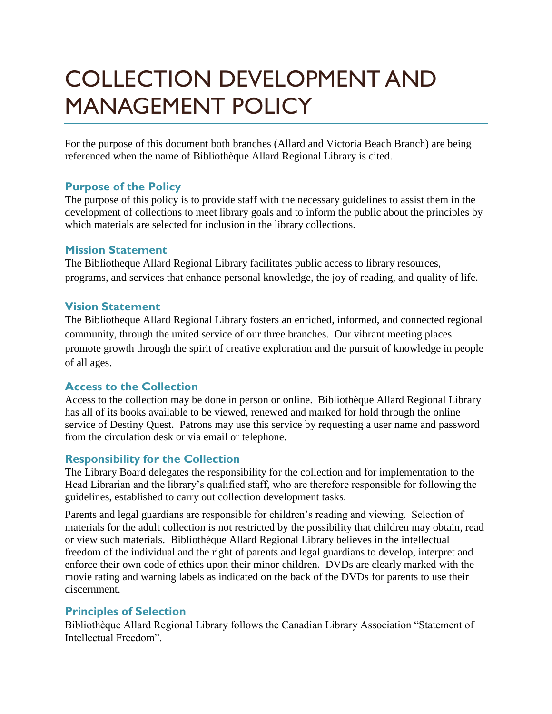# COLLECTION DEVELOPMENT AND MANAGEMENT POLICY

For the purpose of this document both branches (Allard and Victoria Beach Branch) are being referenced when the name of Bibliothèque Allard Regional Library is cited.

# **Purpose of the Policy**

The purpose of this policy is to provide staff with the necessary guidelines to assist them in the development of collections to meet library goals and to inform the public about the principles by which materials are selected for inclusion in the library collections.

#### **Mission Statement**

The Bibliotheque Allard Regional Library facilitates public access to library resources, programs, and services that enhance personal knowledge, the joy of reading, and quality of life.

# **Vision Statement**

The Bibliotheque Allard Regional Library fosters an enriched, informed, and connected regional community, through the united service of our three branches. Our vibrant meeting places promote growth through the spirit of creative exploration and the pursuit of knowledge in people of all ages.

# **Access to the Collection**

Access to the collection may be done in person or online. Bibliothèque Allard Regional Library has all of its books available to be viewed, renewed and marked for hold through the online service of Destiny Quest. Patrons may use this service by requesting a user name and password from the circulation desk or via email or telephone.

# **Responsibility for the Collection**

The Library Board delegates the responsibility for the collection and for implementation to the Head Librarian and the library's qualified staff, who are therefore responsible for following the guidelines, established to carry out collection development tasks.

Parents and legal guardians are responsible for children's reading and viewing. Selection of materials for the adult collection is not restricted by the possibility that children may obtain, read or view such materials. Bibliothèque Allard Regional Library believes in the intellectual freedom of the individual and the right of parents and legal guardians to develop, interpret and enforce their own code of ethics upon their minor children. DVDs are clearly marked with the movie rating and warning labels as indicated on the back of the DVDs for parents to use their discernment.

# **Principles of Selection**

Bibliothèque Allard Regional Library follows the Canadian Library Association "Statement of Intellectual Freedom".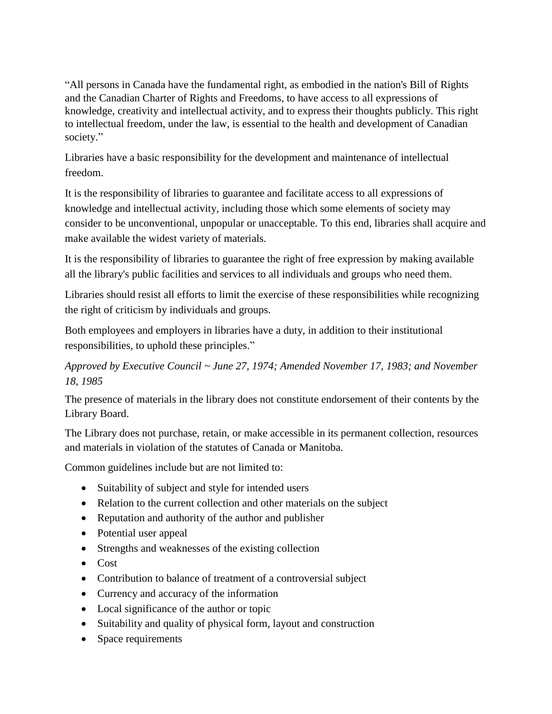"All persons in Canada have the fundamental right, as embodied in the nation's Bill of Rights and the Canadian Charter of Rights and Freedoms, to have access to all expressions of knowledge, creativity and intellectual activity, and to express their thoughts publicly. This right to intellectual freedom, under the law, is essential to the health and development of Canadian society."

Libraries have a basic responsibility for the development and maintenance of intellectual freedom.

It is the responsibility of libraries to guarantee and facilitate access to all expressions of knowledge and intellectual activity, including those which some elements of society may consider to be unconventional, unpopular or unacceptable. To this end, libraries shall acquire and make available the widest variety of materials.

It is the responsibility of libraries to guarantee the right of free expression by making available all the library's public facilities and services to all individuals and groups who need them.

Libraries should resist all efforts to limit the exercise of these responsibilities while recognizing the right of criticism by individuals and groups.

Both employees and employers in libraries have a duty, in addition to their institutional responsibilities, to uphold these principles."

# *Approved by Executive Council ~ June 27, 1974; Amended November 17, 1983; and November 18, 1985*

The presence of materials in the library does not constitute endorsement of their contents by the Library Board.

The Library does not purchase, retain, or make accessible in its permanent collection, resources and materials in violation of the statutes of Canada or Manitoba.

Common guidelines include but are not limited to:

- Suitability of subject and style for intended users
- Relation to the current collection and other materials on the subject
- Reputation and authority of the author and publisher
- Potential user appeal
- Strengths and weaknesses of the existing collection
- Cost
- Contribution to balance of treatment of a controversial subject
- Currency and accuracy of the information
- Local significance of the author or topic
- Suitability and quality of physical form, layout and construction
- Space requirements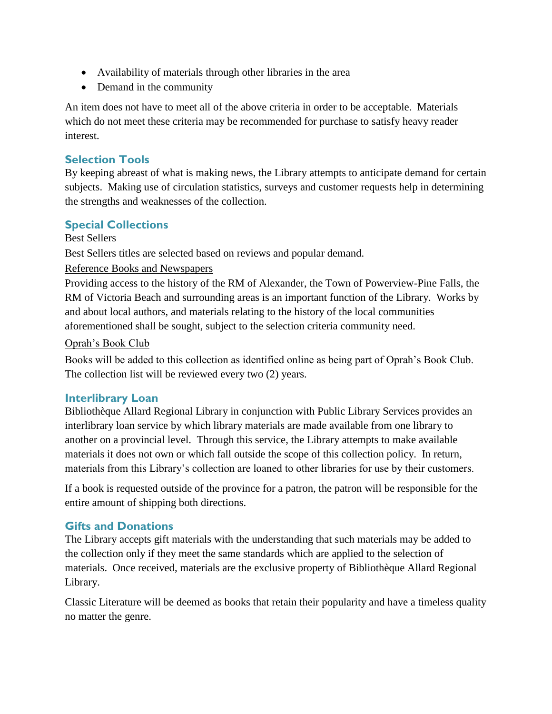- Availability of materials through other libraries in the area
- Demand in the community

An item does not have to meet all of the above criteria in order to be acceptable. Materials which do not meet these criteria may be recommended for purchase to satisfy heavy reader interest.

# **Selection Tools**

By keeping abreast of what is making news, the Library attempts to anticipate demand for certain subjects. Making use of circulation statistics, surveys and customer requests help in determining the strengths and weaknesses of the collection.

# **Special Collections**

#### Best Sellers

Best Sellers titles are selected based on reviews and popular demand.

#### Reference Books and Newspapers

Providing access to the history of the RM of Alexander, the Town of Powerview-Pine Falls, the RM of Victoria Beach and surrounding areas is an important function of the Library. Works by and about local authors, and materials relating to the history of the local communities aforementioned shall be sought, subject to the selection criteria community need.

#### Oprah's Book Club

Books will be added to this collection as identified online as being part of Oprah's Book Club. The collection list will be reviewed every two (2) years.

# **Interlibrary Loan**

Bibliothèque Allard Regional Library in conjunction with Public Library Services provides an interlibrary loan service by which library materials are made available from one library to another on a provincial level. Through this service, the Library attempts to make available materials it does not own or which fall outside the scope of this collection policy. In return, materials from this Library's collection are loaned to other libraries for use by their customers.

If a book is requested outside of the province for a patron, the patron will be responsible for the entire amount of shipping both directions.

# **Gifts and Donations**

The Library accepts gift materials with the understanding that such materials may be added to the collection only if they meet the same standards which are applied to the selection of materials. Once received, materials are the exclusive property of Bibliothèque Allard Regional Library.

Classic Literature will be deemed as books that retain their popularity and have a timeless quality no matter the genre.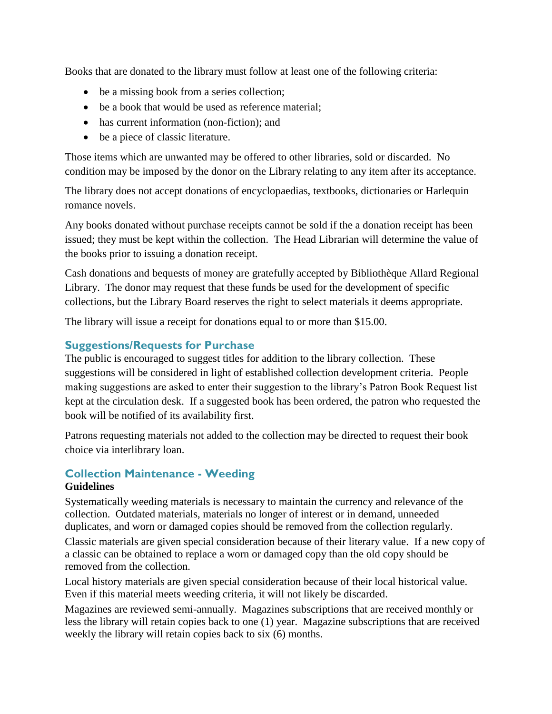Books that are donated to the library must follow at least one of the following criteria:

- be a missing book from a series collection;
- be a book that would be used as reference material;
- has current information (non-fiction); and
- be a piece of classic literature.

Those items which are unwanted may be offered to other libraries, sold or discarded. No condition may be imposed by the donor on the Library relating to any item after its acceptance.

The library does not accept donations of encyclopaedias, textbooks, dictionaries or Harlequin romance novels.

Any books donated without purchase receipts cannot be sold if the a donation receipt has been issued; they must be kept within the collection. The Head Librarian will determine the value of the books prior to issuing a donation receipt.

Cash donations and bequests of money are gratefully accepted by Bibliothèque Allard Regional Library. The donor may request that these funds be used for the development of specific collections, but the Library Board reserves the right to select materials it deems appropriate.

The library will issue a receipt for donations equal to or more than \$15.00.

#### **Suggestions/Requests for Purchase**

The public is encouraged to suggest titles for addition to the library collection. These suggestions will be considered in light of established collection development criteria. People making suggestions are asked to enter their suggestion to the library's Patron Book Request list kept at the circulation desk. If a suggested book has been ordered, the patron who requested the book will be notified of its availability first.

Patrons requesting materials not added to the collection may be directed to request their book choice via interlibrary loan.

# **Collection Maintenance - Weeding**

#### **Guidelines**

Systematically weeding materials is necessary to maintain the currency and relevance of the collection. Outdated materials, materials no longer of interest or in demand, unneeded duplicates, and worn or damaged copies should be removed from the collection regularly.

Classic materials are given special consideration because of their literary value. If a new copy of a classic can be obtained to replace a worn or damaged copy than the old copy should be removed from the collection.

Local history materials are given special consideration because of their local historical value. Even if this material meets weeding criteria, it will not likely be discarded.

Magazines are reviewed semi-annually. Magazines subscriptions that are received monthly or less the library will retain copies back to one (1) year. Magazine subscriptions that are received weekly the library will retain copies back to six (6) months.